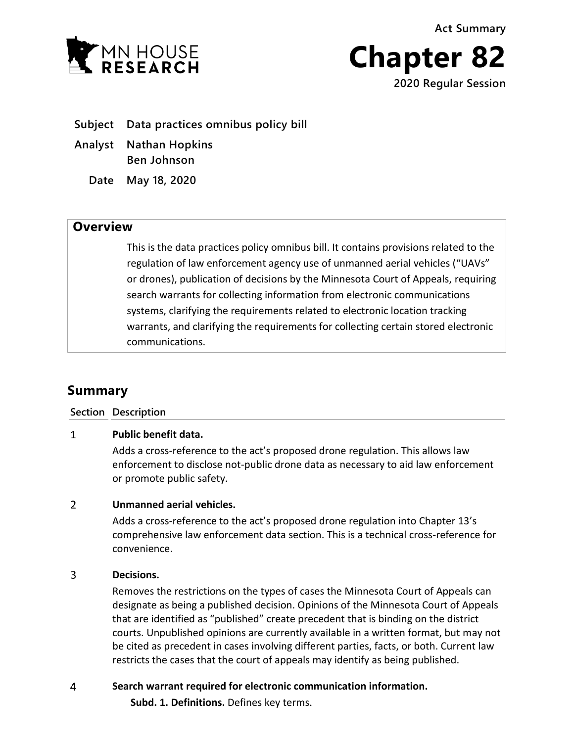**Act Summary**





**Subject Data practices omnibus policy bill**

- **Analyst Nathan Hopkins Ben Johnson**
	- **Date May 18, 2020**

## **Overview**

This is the data practices policy omnibus bill. It contains provisions related to the regulation of law enforcement agency use of unmanned aerial vehicles ("UAVs" or drones), publication of decisions by the Minnesota Court of Appeals, requiring search warrants for collecting information from electronic communications systems, clarifying the requirements related to electronic location tracking warrants, and clarifying the requirements for collecting certain stored electronic communications.

# **Summary**

### **Section Description**

### $\mathbf{1}$ **Public benefit data.**

Adds a cross-reference to the act's proposed drone regulation. This allows law enforcement to disclose not-public drone data as necessary to aid law enforcement or promote public safety.

### $\overline{2}$ **Unmanned aerial vehicles.**

Adds a cross-reference to the act's proposed drone regulation into Chapter 13's comprehensive law enforcement data section. This is a technical cross-reference for convenience.

### 3 **Decisions.**

Removes the restrictions on the types of cases the Minnesota Court of Appeals can designate as being a published decision. Opinions of the Minnesota Court of Appeals that are identified as "published" create precedent that is binding on the district courts. Unpublished opinions are currently available in a written format, but may not be cited as precedent in cases involving different parties, facts, or both. Current law restricts the cases that the court of appeals may identify as being published.

### $\overline{4}$ **Search warrant required for electronic communication information.**

**Subd. 1. Definitions.** Defines key terms.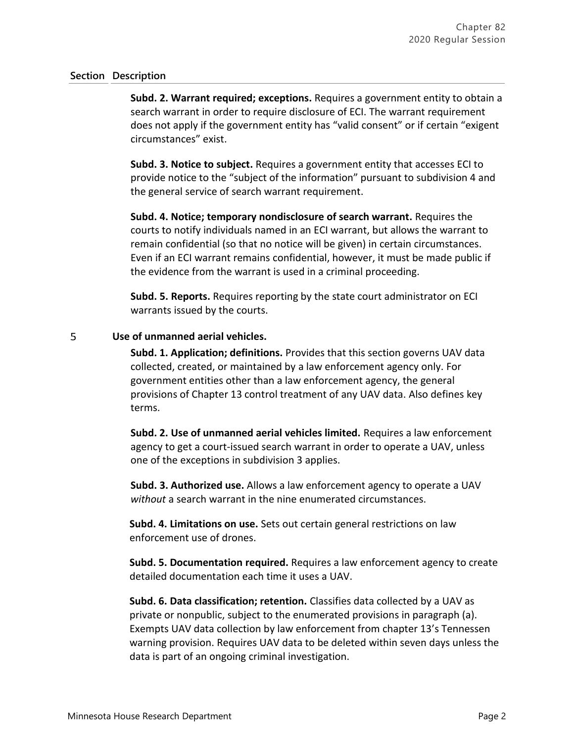**Subd. 2. Warrant required; exceptions.** Requires a government entity to obtain a search warrant in order to require disclosure of ECI. The warrant requirement does not apply if the government entity has "valid consent" or if certain "exigent circumstances" exist.

**Subd. 3. Notice to subject.** Requires a government entity that accesses ECI to provide notice to the "subject of the information" pursuant to subdivision 4 and the general service of search warrant requirement.

**Subd. 4. Notice; temporary nondisclosure of search warrant.** Requires the courts to notify individuals named in an ECI warrant, but allows the warrant to remain confidential (so that no notice will be given) in certain circumstances. Even if an ECI warrant remains confidential, however, it must be made public if the evidence from the warrant is used in a criminal proceeding.

**Subd. 5. Reports.** Requires reporting by the state court administrator on ECI warrants issued by the courts.

### 5 **Use of unmanned aerial vehicles.**

**Subd. 1. Application; definitions.** Provides that this section governs UAV data collected, created, or maintained by a law enforcement agency only. For government entities other than a law enforcement agency, the general provisions of Chapter 13 control treatment of any UAV data. Also defines key terms.

**Subd. 2. Use of unmanned aerial vehicles limited.** Requires a law enforcement agency to get a court-issued search warrant in order to operate a UAV, unless one of the exceptions in subdivision 3 applies.

**Subd. 3. Authorized use.** Allows a law enforcement agency to operate a UAV *without* a search warrant in the nine enumerated circumstances.

**Subd. 4. Limitations on use.** Sets out certain general restrictions on law enforcement use of drones.

**Subd. 5. Documentation required.** Requires a law enforcement agency to create detailed documentation each time it uses a UAV.

**Subd. 6. Data classification; retention.** Classifies data collected by a UAV as private or nonpublic, subject to the enumerated provisions in paragraph (a). Exempts UAV data collection by law enforcement from chapter 13's Tennessen warning provision. Requires UAV data to be deleted within seven days unless the data is part of an ongoing criminal investigation.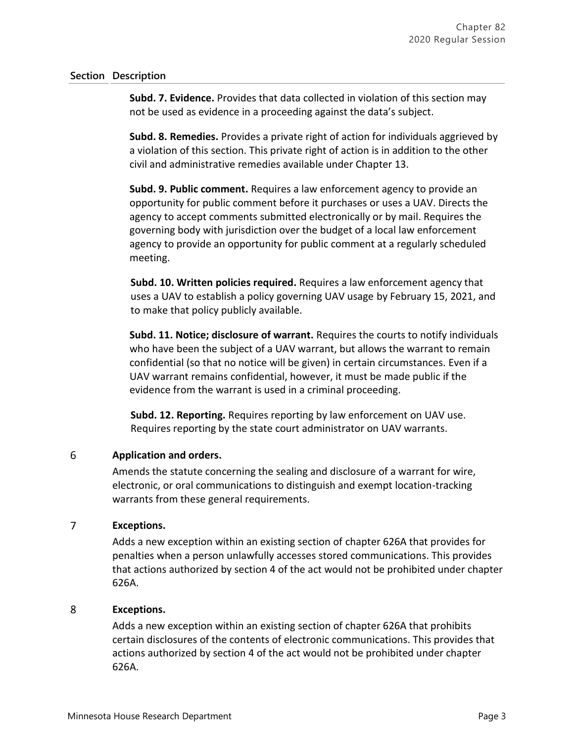**Subd. 7. Evidence.** Provides that data collected in violation of this section may not be used as evidence in a proceeding against the data's subject.

**Subd. 8. Remedies.** Provides a private right of action for individuals aggrieved by a violation of this section. This private right of action is in addition to the other civil and administrative remedies available under Chapter 13.

**Subd. 9. Public comment.** Requires a law enforcement agency to provide an opportunity for public comment before it purchases or uses a UAV. Directs the agency to accept comments submitted electronically or by mail. Requires the governing body with jurisdiction over the budget of a local law enforcement agency to provide an opportunity for public comment at a regularly scheduled meeting.

**Subd. 10. Written policies required.** Requires a law enforcement agency that uses a UAV to establish a policy governing UAV usage by February 15, 2021, and to make that policy publicly available.

**Subd. 11. Notice; disclosure of warrant.** Requires the courts to notify individuals who have been the subject of a UAV warrant, but allows the warrant to remain confidential (so that no notice will be given) in certain circumstances. Even if a UAV warrant remains confidential, however, it must be made public if the evidence from the warrant is used in a criminal proceeding.

**Subd. 12. Reporting.** Requires reporting by law enforcement on UAV use. Requires reporting by the state court administrator on UAV warrants.

### 6 **Application and orders.**

Amends the statute concerning the sealing and disclosure of a warrant for wire, electronic, or oral communications to distinguish and exempt location-tracking warrants from these general requirements.

### $\overline{7}$ **Exceptions.**

Adds a new exception within an existing section of chapter 626A that provides for penalties when a person unlawfully accesses stored communications. This provides that actions authorized by section 4 of the act would not be prohibited under chapter 626A.

### 8 **Exceptions.**

Adds a new exception within an existing section of chapter 626A that prohibits certain disclosures of the contents of electronic communications. This provides that actions authorized by section 4 of the act would not be prohibited under chapter 626A.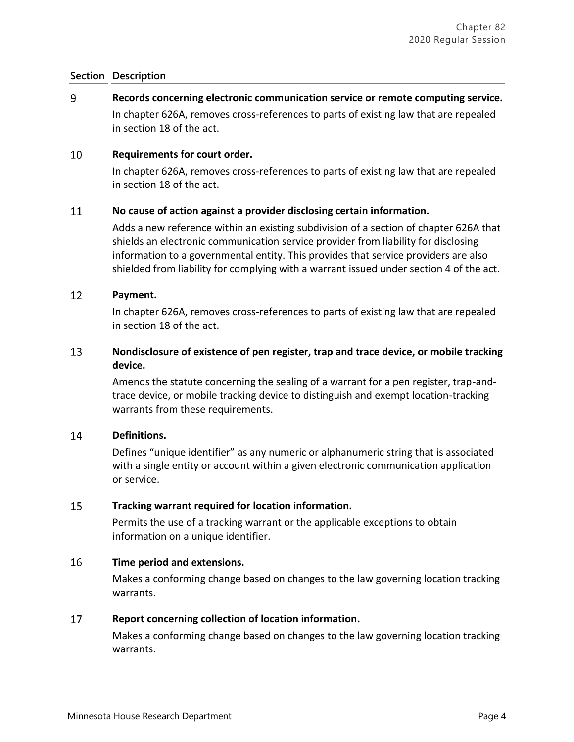9 **Records concerning electronic communication service or remote computing service.** In chapter 626A, removes cross-references to parts of existing law that are repealed in section 18 of the act.

#### 10 **Requirements for court order.**

In chapter 626A, removes cross-references to parts of existing law that are repealed in section 18 of the act.

#### 11 **No cause of action against a provider disclosing certain information.**

Adds a new reference within an existing subdivision of a section of chapter 626A that shields an electronic communication service provider from liability for disclosing information to a governmental entity. This provides that service providers are also shielded from liability for complying with a warrant issued under section 4 of the act.

#### 12 **Payment.**

In chapter 626A, removes cross-references to parts of existing law that are repealed in section 18 of the act.

### 13 **Nondisclosure of existence of pen register, trap and trace device, or mobile tracking device.**

Amends the statute concerning the sealing of a warrant for a pen register, trap-andtrace device, or mobile tracking device to distinguish and exempt location-tracking warrants from these requirements.

### 14 **Definitions.**

Defines "unique identifier" as any numeric or alphanumeric string that is associated with a single entity or account within a given electronic communication application or service.

### 15 **Tracking warrant required for location information.**

Permits the use of a tracking warrant or the applicable exceptions to obtain information on a unique identifier.

### 16 **Time period and extensions.**

Makes a conforming change based on changes to the law governing location tracking warrants.

### 17 **Report concerning collection of location information.**

Makes a conforming change based on changes to the law governing location tracking warrants.